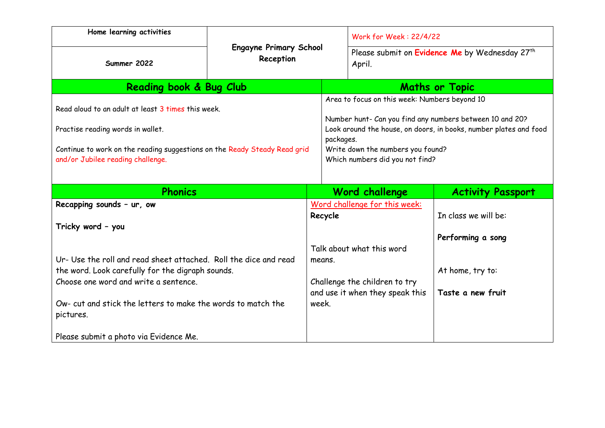| Home learning activities                                                                                                                                                                                  |                                            |                   | <b>Work for Week: 22/4/22</b>                                                                                                                                                                                                                                       |                                           |
|-----------------------------------------------------------------------------------------------------------------------------------------------------------------------------------------------------------|--------------------------------------------|-------------------|---------------------------------------------------------------------------------------------------------------------------------------------------------------------------------------------------------------------------------------------------------------------|-------------------------------------------|
| Summer 2022                                                                                                                                                                                               | <b>Engayne Primary School</b><br>Reception |                   | Please submit on Evidence Me by Wednesday 27 <sup>th</sup><br>April.                                                                                                                                                                                                |                                           |
| Reading book & Bug Club                                                                                                                                                                                   |                                            |                   | <b>Maths or Topic</b>                                                                                                                                                                                                                                               |                                           |
| Read aloud to an adult at least 3 times this week.<br>Practise reading words in wallet.<br>Continue to work on the reading suggestions on the Ready Steady Read grid<br>and/or Jubilee reading challenge. |                                            |                   | Area to focus on this week: Numbers beyond 10<br>Number hunt- Can you find any numbers between 10 and 20?<br>Look around the house, on doors, in books, number plates and food<br>packages.<br>Write down the numbers you found?<br>Which numbers did you not find? |                                           |
| <b>Phonics</b>                                                                                                                                                                                            |                                            |                   | Word challenge                                                                                                                                                                                                                                                      | <b>Activity Passport</b>                  |
| Recapping sounds - ur, ow<br>Tricky word - you<br>Ur- Use the roll and read sheet attached. Roll the dice and read                                                                                        |                                            | Recycle<br>means. | Word challenge for this week:<br>Talk about what this word                                                                                                                                                                                                          | In class we will be:<br>Performing a song |
| the word. Look carefully for the digraph sounds.                                                                                                                                                          |                                            |                   |                                                                                                                                                                                                                                                                     | At home, try to:                          |

Challenge the children to try and use it when they speak this

**Taste a new fruit** 

week.

Choose one word and write a sentence.

Please submit a photo via Evidence Me.

pictures.

Ow- cut and stick the letters to make the words to match the